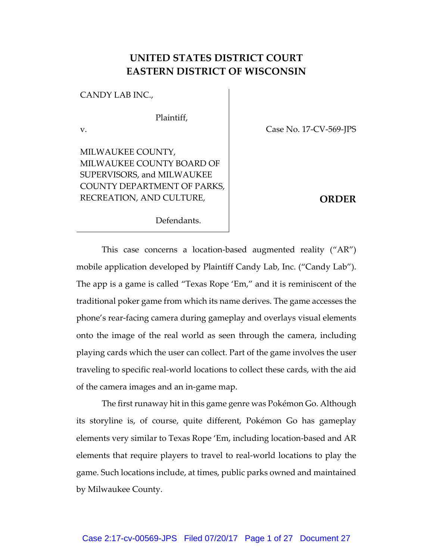## **UNITED STATES DISTRICT COURT EASTERN DISTRICT OF WISCONSIN**

CANDY LAB INC.,

Plaintiff,

v.

MILWAUKEE COUNTY, MILWAUKEE COUNTY BOARD OF SUPERVISORS, and MILWAUKEE COUNTY DEPARTMENT OF PARKS, RECREATION, AND CULTURE,

Case No. 17-CV-569-JPS

**ORDER**

Defendants.

This case concerns a location-based augmented reality ("AR") mobile application developed by Plaintiff Candy Lab, Inc. ("Candy Lab"). The app is a game is called "Texas Rope 'Em," and it is reminiscent of the traditional poker game from which its name derives. The game accesses the phone's rear-facing camera during gameplay and overlays visual elements onto the image of the real world as seen through the camera, including playing cards which the user can collect. Part of the game involves the user traveling to specific real-world locations to collect these cards, with the aid of the camera images and an in-game map.

The first runaway hit in this game genre was Pokémon Go. Although its storyline is, of course, quite different, Pokémon Go has gameplay elements very similar to Texas Rope 'Em, including location-based and AR elements that require players to travel to real-world locations to play the game. Such locations include, at times, public parks owned and maintained by Milwaukee County.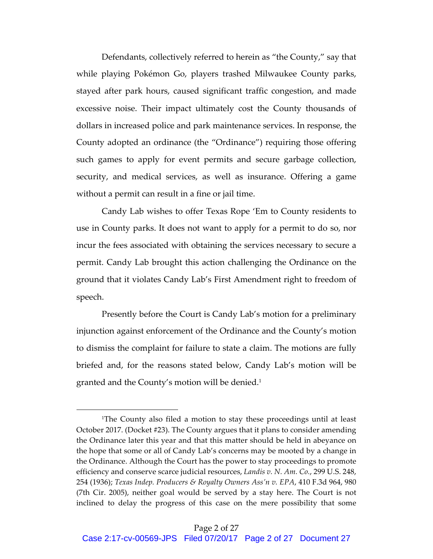Defendants, collectively referred to herein as "the County," say that while playing Pokémon Go, players trashed Milwaukee County parks, stayed after park hours, caused significant traffic congestion, and made excessive noise. Their impact ultimately cost the County thousands of dollars in increased police and park maintenance services. In response, the County adopted an ordinance (the "Ordinance") requiring those offering such games to apply for event permits and secure garbage collection, security, and medical services, as well as insurance. Offering a game without a permit can result in a fine or jail time.

Candy Lab wishes to offer Texas Rope 'Em to County residents to use in County parks. It does not want to apply for a permit to do so, nor incur the fees associated with obtaining the services necessary to secure a permit. Candy Lab brought this action challenging the Ordinance on the ground that it violates Candy Lab's First Amendment right to freedom of speech.

Presently before the Court is Candy Lab's motion for a preliminary injunction against enforcement of the Ordinance and the County's motion to dismiss the complaint for failure to state a claim. The motions are fully briefed and, for the reasons stated below, Candy Lab's motion will be granted and the County's motion will be denied.<sup>1</sup>

<sup>1</sup>The County also filed a motion to stay these proceedings until at least October 2017. (Docket #23). The County argues that it plans to consider amending the Ordinance later this year and that this matter should be held in abeyance on the hope that some or all of Candy Lab's concerns may be mooted by a change in the Ordinance. Although the Court has the power to stay proceedings to promote efficiency and conserve scarce judicial resources, *Landis v. N. Am. Co.*, 299 U.S. 248, 254 (1936); *Texas Indep. Producers & Royalty Owners Ass'n v. EPA*, 410 F.3d 964, 980 (7th Cir. 2005), neither goal would be served by a stay here. The Court is not inclined to delay the progress of this case on the mere possibility that some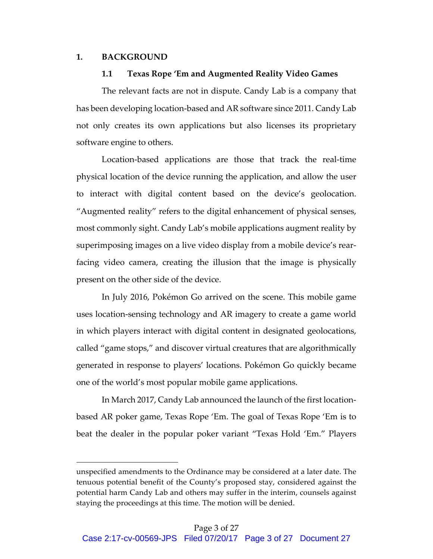## **1. BACKGROUND**

 

#### **1.1 Texas Rope 'Em and Augmented Reality Video Games**

The relevant facts are not in dispute. Candy Lab is a company that has been developing location-based and AR software since 2011. Candy Lab not only creates its own applications but also licenses its proprietary software engine to others.

Location-based applications are those that track the real-time physical location of the device running the application, and allow the user to interact with digital content based on the device's geolocation. "Augmented reality" refers to the digital enhancement of physical senses, most commonly sight. Candy Lab's mobile applications augment reality by superimposing images on a live video display from a mobile device's rearfacing video camera, creating the illusion that the image is physically present on the other side of the device.

In July 2016, Pokémon Go arrived on the scene. This mobile game uses location-sensing technology and AR imagery to create a game world in which players interact with digital content in designated geolocations, called "game stops," and discover virtual creatures that are algorithmically generated in response to players' locations. Pokémon Go quickly became one of the world's most popular mobile game applications.

In March 2017, Candy Lab announced the launch of the first locationbased AR poker game, Texas Rope 'Em. The goal of Texas Rope 'Em is to beat the dealer in the popular poker variant "Texas Hold 'Em." Players

unspecified amendments to the Ordinance may be considered at a later date. The tenuous potential benefit of the County's proposed stay, considered against the potential harm Candy Lab and others may suffer in the interim, counsels against staying the proceedings at this time. The motion will be denied.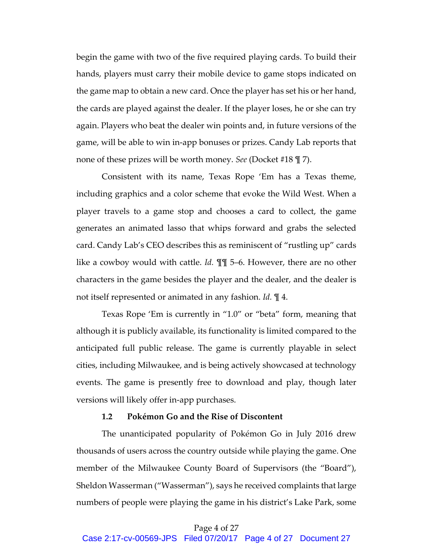begin the game with two of the five required playing cards. To build their hands, players must carry their mobile device to game stops indicated on the game map to obtain a new card. Once the player has set his or her hand, the cards are played against the dealer. If the player loses, he or she can try again. Players who beat the dealer win points and, in future versions of the game, will be able to win in-app bonuses or prizes. Candy Lab reports that none of these prizes will be worth money. *See* (Docket #18 ¶ 7).

Consistent with its name, Texas Rope 'Em has a Texas theme, including graphics and a color scheme that evoke the Wild West. When a player travels to a game stop and chooses a card to collect, the game generates an animated lasso that whips forward and grabs the selected card. Candy Lab's CEO describes this as reminiscent of "rustling up" cards like a cowboy would with cattle. *Id.* ¶¶ 5–6. However, there are no other characters in the game besides the player and the dealer, and the dealer is not itself represented or animated in any fashion. *Id.* ¶ 4.

Texas Rope 'Em is currently in "1.0" or "beta" form, meaning that although it is publicly available, its functionality is limited compared to the anticipated full public release. The game is currently playable in select cities, including Milwaukee, and is being actively showcased at technology events. The game is presently free to download and play, though later versions will likely offer in-app purchases.

#### **1.2 Pokémon Go and the Rise of Discontent**

The unanticipated popularity of Pokémon Go in July 2016 drew thousands of users across the country outside while playing the game. One member of the Milwaukee County Board of Supervisors (the "Board"), Sheldon Wasserman ("Wasserman"), says he received complaints that large numbers of people were playing the game in his district's Lake Park, some

## Page 4 of 27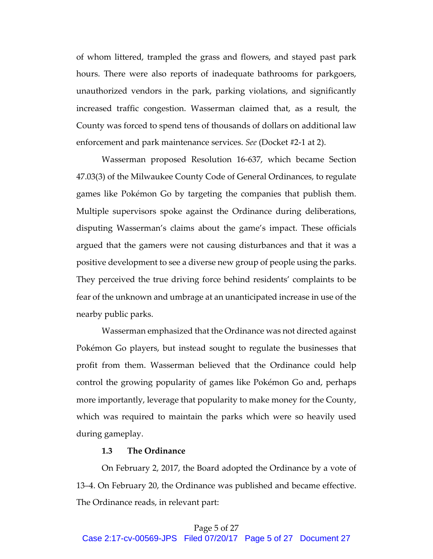of whom littered, trampled the grass and flowers, and stayed past park hours. There were also reports of inadequate bathrooms for parkgoers, unauthorized vendors in the park, parking violations, and significantly increased traffic congestion. Wasserman claimed that, as a result, the County was forced to spend tens of thousands of dollars on additional law enforcement and park maintenance services. *See* (Docket #2-1 at 2).

Wasserman proposed Resolution 16-637, which became Section 47.03(3) of the Milwaukee County Code of General Ordinances, to regulate games like Pokémon Go by targeting the companies that publish them. Multiple supervisors spoke against the Ordinance during deliberations, disputing Wasserman's claims about the game's impact. These officials argued that the gamers were not causing disturbances and that it was a positive development to see a diverse new group of people using the parks. They perceived the true driving force behind residents' complaints to be fear of the unknown and umbrage at an unanticipated increase in use of the nearby public parks.

Wasserman emphasized that the Ordinance was not directed against Pokémon Go players, but instead sought to regulate the businesses that profit from them. Wasserman believed that the Ordinance could help control the growing popularity of games like Pokémon Go and, perhaps more importantly, leverage that popularity to make money for the County, which was required to maintain the parks which were so heavily used during gameplay.

## **1.3 The Ordinance**

On February 2, 2017, the Board adopted the Ordinance by a vote of 13–4. On February 20, the Ordinance was published and became effective. The Ordinance reads, in relevant part: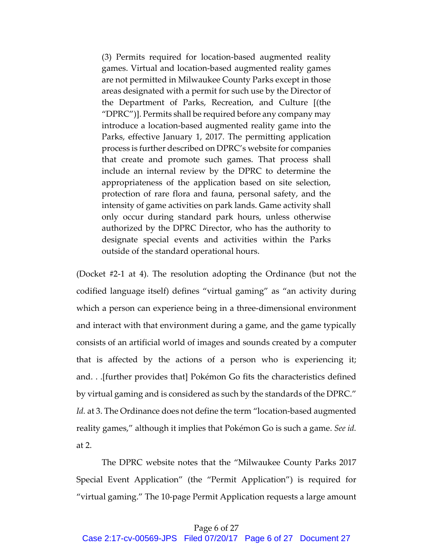(3) Permits required for location-based augmented reality games. Virtual and location-based augmented reality games are not permitted in Milwaukee County Parks except in those areas designated with a permit for such use by the Director of the Department of Parks, Recreation, and Culture [(the "DPRC")]. Permits shall be required before any company may introduce a location-based augmented reality game into the Parks, effective January 1, 2017. The permitting application process is further described on DPRC's website for companies that create and promote such games. That process shall include an internal review by the DPRC to determine the appropriateness of the application based on site selection, protection of rare flora and fauna, personal safety, and the intensity of game activities on park lands. Game activity shall only occur during standard park hours, unless otherwise authorized by the DPRC Director, who has the authority to designate special events and activities within the Parks outside of the standard operational hours.

(Docket #2-1 at 4). The resolution adopting the Ordinance (but not the codified language itself) defines "virtual gaming" as "an activity during which a person can experience being in a three-dimensional environment and interact with that environment during a game, and the game typically consists of an artificial world of images and sounds created by a computer that is affected by the actions of a person who is experiencing it; and. . .[further provides that] Pokémon Go fits the characteristics defined by virtual gaming and is considered as such by the standards of the DPRC." *Id.* at 3. The Ordinance does not define the term "location-based augmented reality games," although it implies that Pokémon Go is such a game. *See id.* at 2.

The DPRC website notes that the "Milwaukee County Parks 2017 Special Event Application" (the "Permit Application") is required for "virtual gaming." The 10-page Permit Application requests a large amount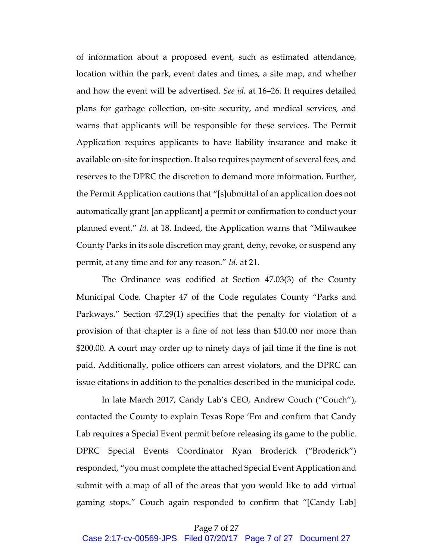of information about a proposed event, such as estimated attendance, location within the park, event dates and times, a site map, and whether and how the event will be advertised. *See id.* at 16–26. It requires detailed plans for garbage collection, on-site security, and medical services, and warns that applicants will be responsible for these services. The Permit Application requires applicants to have liability insurance and make it available on-site for inspection. It also requires payment of several fees, and reserves to the DPRC the discretion to demand more information. Further, the Permit Application cautions that "[s]ubmittal of an application does not automatically grant [an applicant] a permit or confirmation to conduct your planned event." *Id.* at 18. Indeed, the Application warns that "Milwaukee County Parks in its sole discretion may grant, deny, revoke, or suspend any permit, at any time and for any reason." *Id.* at 21.

The Ordinance was codified at Section 47.03(3) of the County Municipal Code. Chapter 47 of the Code regulates County "Parks and Parkways." Section 47.29(1) specifies that the penalty for violation of a provision of that chapter is a fine of not less than \$10.00 nor more than \$200.00. A court may order up to ninety days of jail time if the fine is not paid. Additionally, police officers can arrest violators, and the DPRC can issue citations in addition to the penalties described in the municipal code.

In late March 2017, Candy Lab's CEO, Andrew Couch ("Couch"), contacted the County to explain Texas Rope 'Em and confirm that Candy Lab requires a Special Event permit before releasing its game to the public. DPRC Special Events Coordinator Ryan Broderick ("Broderick") responded, "you must complete the attached Special Event Application and submit with a map of all of the areas that you would like to add virtual gaming stops." Couch again responded to confirm that "[Candy Lab]

#### Page 7 of 27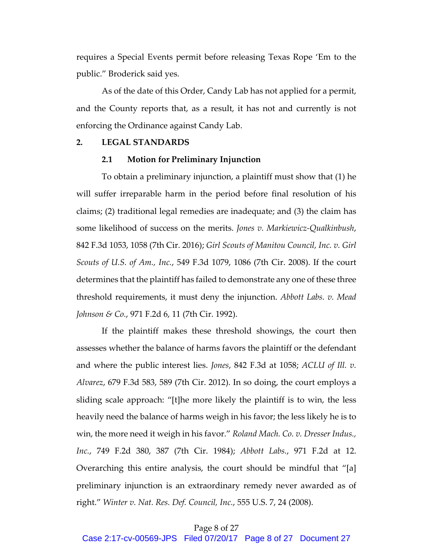requires a Special Events permit before releasing Texas Rope 'Em to the public." Broderick said yes.

As of the date of this Order, Candy Lab has not applied for a permit, and the County reports that, as a result, it has not and currently is not enforcing the Ordinance against Candy Lab.

#### **2. LEGAL STANDARDS**

#### **2.1 Motion for Preliminary Injunction**

To obtain a preliminary injunction, a plaintiff must show that (1) he will suffer irreparable harm in the period before final resolution of his claims; (2) traditional legal remedies are inadequate; and (3) the claim has some likelihood of success on the merits. *Jones v. Markiewicz-Qualkinbush*, 842 F.3d 1053, 1058 (7th Cir. 2016); *Girl Scouts of Manitou Council, Inc. v. Girl Scouts of U.S. of Am., Inc.*, 549 F.3d 1079, 1086 (7th Cir. 2008). If the court determines that the plaintiff has failed to demonstrate any one of these three threshold requirements, it must deny the injunction. *Abbott Labs. v. Mead Johnson & Co.*, 971 F.2d 6, 11 (7th Cir. 1992).

If the plaintiff makes these threshold showings, the court then assesses whether the balance of harms favors the plaintiff or the defendant and where the public interest lies. *Jones*, 842 F.3d at 1058; *ACLU of Ill. v. Alvarez*, 679 F.3d 583, 589 (7th Cir. 2012). In so doing, the court employs a sliding scale approach: "[t]he more likely the plaintiff is to win, the less heavily need the balance of harms weigh in his favor; the less likely he is to win, the more need it weigh in his favor." *Roland Mach. Co. v. Dresser Indus., Inc.*, 749 F.2d 380, 387 (7th Cir. 1984); *Abbott Labs.*, 971 F.2d at 12. Overarching this entire analysis, the court should be mindful that "[a] preliminary injunction is an extraordinary remedy never awarded as of right." *Winter v. Nat. Res. Def. Council, Inc.*, 555 U.S. 7, 24 (2008).

## Page 8 of 27

Case 2:17-cv-00569-JPS Filed 07/20/17 Page 8 of 27 Document 27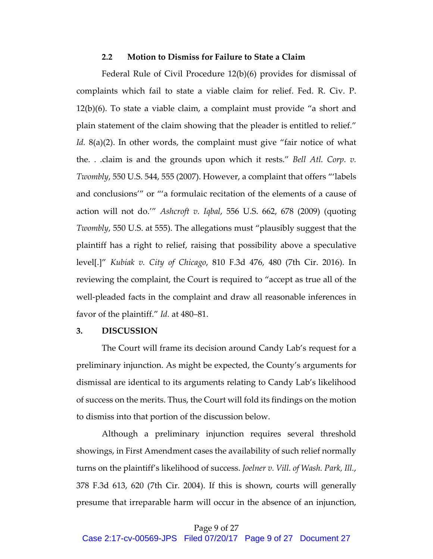#### **2.2 Motion to Dismiss for Failure to State a Claim**

Federal Rule of Civil Procedure 12(b)(6) provides for dismissal of complaints which fail to state a viable claim for relief. Fed. R. Civ. P. 12(b)(6). To state a viable claim, a complaint must provide "a short and plain statement of the claim showing that the pleader is entitled to relief." *Id.* 8(a)(2). In other words, the complaint must give "fair notice of what the. . .claim is and the grounds upon which it rests." *Bell Atl. Corp. v. Twombly*, 550 U.S. 544, 555 (2007). However, a complaint that offers "'labels and conclusions'" or "'a formulaic recitation of the elements of a cause of action will not do.'" *Ashcroft v. Iqbal*, 556 U.S. 662, 678 (2009) (quoting *Twombly*, 550 U.S. at 555). The allegations must "plausibly suggest that the plaintiff has a right to relief, raising that possibility above a speculative level[.]" *Kubiak v. City of Chicago*, 810 F.3d 476, 480 (7th Cir. 2016). In reviewing the complaint, the Court is required to "accept as true all of the well-pleaded facts in the complaint and draw all reasonable inferences in favor of the plaintiff." *Id.* at 480–81.

#### **3. DISCUSSION**

The Court will frame its decision around Candy Lab's request for a preliminary injunction. As might be expected, the County's arguments for dismissal are identical to its arguments relating to Candy Lab's likelihood of success on the merits. Thus, the Court will fold its findings on the motion to dismiss into that portion of the discussion below.

Although a preliminary injunction requires several threshold showings, in First Amendment cases the availability of such relief normally turns on the plaintiff's likelihood of success. *Joelner v. Vill. of Wash. Park, Ill.*, 378 F.3d 613, 620 (7th Cir. 2004). If this is shown, courts will generally presume that irreparable harm will occur in the absence of an injunction,

## Page 9 of 27

Case 2:17-cv-00569-JPS Filed 07/20/17 Page 9 of 27 Document 27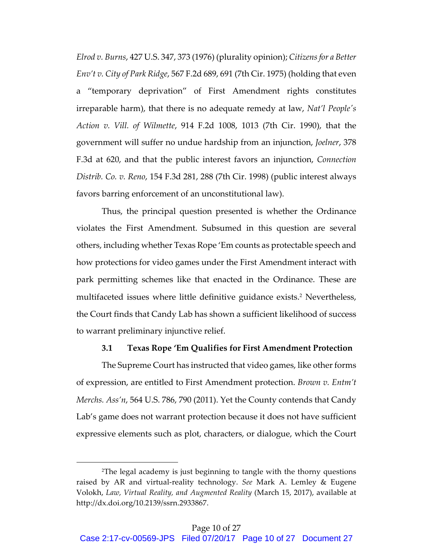*Elrod v. Burns*, 427 U.S. 347, 373 (1976) (plurality opinion); *Citizens for a Better Env't v. City of Park Ridge*, 567 F.2d 689, 691 (7th Cir. 1975) (holding that even a "temporary deprivation" of First Amendment rights constitutes irreparable harm), that there is no adequate remedy at law, *Nat'l People's Action v. Vill. of Wilmette*, 914 F.2d 1008, 1013 (7th Cir. 1990), that the government will suffer no undue hardship from an injunction, *Joelner*, 378 F.3d at 620, and that the public interest favors an injunction, *Connection Distrib. Co. v. Reno*, 154 F.3d 281, 288 (7th Cir. 1998) (public interest always favors barring enforcement of an unconstitutional law).

Thus, the principal question presented is whether the Ordinance violates the First Amendment. Subsumed in this question are several others, including whether Texas Rope 'Em counts as protectable speech and how protections for video games under the First Amendment interact with park permitting schemes like that enacted in the Ordinance. These are multifaceted issues where little definitive guidance exists.<sup>2</sup> Nevertheless, the Court finds that Candy Lab has shown a sufficient likelihood of success to warrant preliminary injunctive relief.

## **3.1 Texas Rope 'Em Qualifies for First Amendment Protection**

The Supreme Court has instructed that video games, like other forms of expression, are entitled to First Amendment protection. *Brown v. Entm't Merchs. Ass'n*, 564 U.S. 786, 790 (2011). Yet the County contends that Candy Lab's game does not warrant protection because it does not have sufficient expressive elements such as plot, characters, or dialogue, which the Court

<sup>2</sup>The legal academy is just beginning to tangle with the thorny questions raised by AR and virtual-reality technology. *See* Mark A. Lemley & Eugene Volokh, *Law, Virtual Reality, and Augmented Reality* (March 15, 2017), available at http://dx.doi.org/10.2139/ssrn.2933867.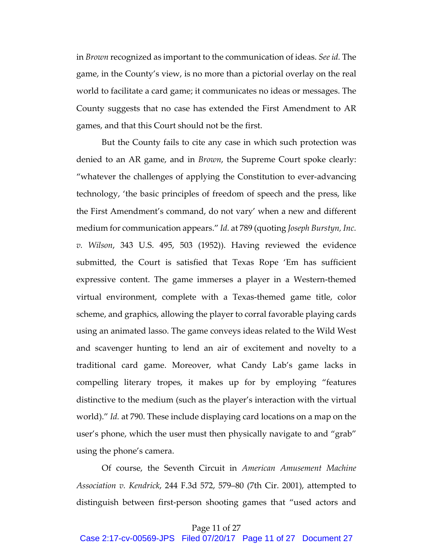in *Brown* recognized as important to the communication of ideas. *See id.* The game, in the County's view, is no more than a pictorial overlay on the real world to facilitate a card game; it communicates no ideas or messages. The County suggests that no case has extended the First Amendment to AR games, and that this Court should not be the first.

But the County fails to cite any case in which such protection was denied to an AR game, and in *Brown*, the Supreme Court spoke clearly: "whatever the challenges of applying the Constitution to ever-advancing technology, 'the basic principles of freedom of speech and the press, like the First Amendment's command, do not vary' when a new and different medium for communication appears." *Id.* at 789 (quoting *Joseph Burstyn, Inc. v. Wilson*, 343 U.S. 495, 503 (1952)). Having reviewed the evidence submitted, the Court is satisfied that Texas Rope 'Em has sufficient expressive content. The game immerses a player in a Western-themed virtual environment, complete with a Texas-themed game title, color scheme, and graphics, allowing the player to corral favorable playing cards using an animated lasso. The game conveys ideas related to the Wild West and scavenger hunting to lend an air of excitement and novelty to a traditional card game. Moreover, what Candy Lab's game lacks in compelling literary tropes, it makes up for by employing "features distinctive to the medium (such as the player's interaction with the virtual world)." *Id.* at 790. These include displaying card locations on a map on the user's phone, which the user must then physically navigate to and "grab" using the phone's camera.

Of course, the Seventh Circuit in *American Amusement Machine Association v. Kendrick*, 244 F.3d 572, 579–80 (7th Cir. 2001), attempted to distinguish between first-person shooting games that "used actors and

## Page 11 of 27

Case 2:17-cv-00569-JPS Filed 07/20/17 Page 11 of 27 Document 27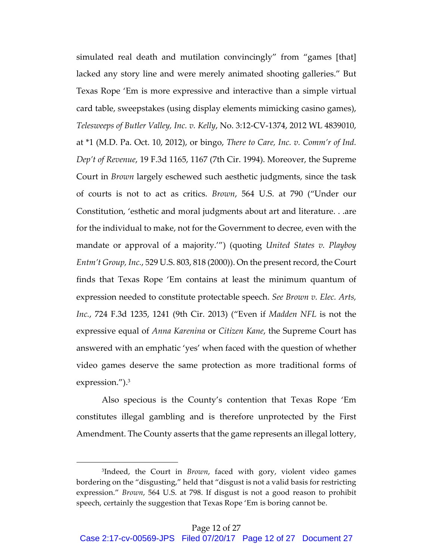simulated real death and mutilation convincingly" from "games [that] lacked any story line and were merely animated shooting galleries." But Texas Rope 'Em is more expressive and interactive than a simple virtual card table, sweepstakes (using display elements mimicking casino games), *Telesweeps of Butler Valley, Inc. v. Kelly*, No. 3:12-CV-1374, 2012 WL 4839010, at \*1 (M.D. Pa. Oct. 10, 2012), or bingo, *There to Care, Inc. v. Comm'r of Ind. Dep't of Revenue*, 19 F.3d 1165, 1167 (7th Cir. 1994). Moreover, the Supreme Court in *Brown* largely eschewed such aesthetic judgments, since the task of courts is not to act as critics. *Brown*, 564 U.S. at 790 ("Under our Constitution, 'esthetic and moral judgments about art and literature. . .are for the individual to make, not for the Government to decree, even with the mandate or approval of a majority.'") (quoting *United States v. Playboy Entm't Group, Inc.*, 529 U.S. 803, 818 (2000)). On the present record, the Court finds that Texas Rope 'Em contains at least the minimum quantum of expression needed to constitute protectable speech. *See Brown v. Elec. Arts, Inc.*, 724 F.3d 1235, 1241 (9th Cir. 2013) ("Even if *Madden NFL* is not the expressive equal of *Anna Karenina* or *Citizen Kane*, the Supreme Court has answered with an emphatic 'yes' when faced with the question of whether video games deserve the same protection as more traditional forms of expression.").<sup>3</sup>

Also specious is the County's contention that Texas Rope 'Em constitutes illegal gambling and is therefore unprotected by the First Amendment. The County asserts that the game represents an illegal lottery,

<sup>3</sup>Indeed, the Court in *Brown*, faced with gory, violent video games bordering on the "disgusting," held that "disgust is not a valid basis for restricting expression." *Brown*, 564 U.S. at 798. If disgust is not a good reason to prohibit speech, certainly the suggestion that Texas Rope 'Em is boring cannot be.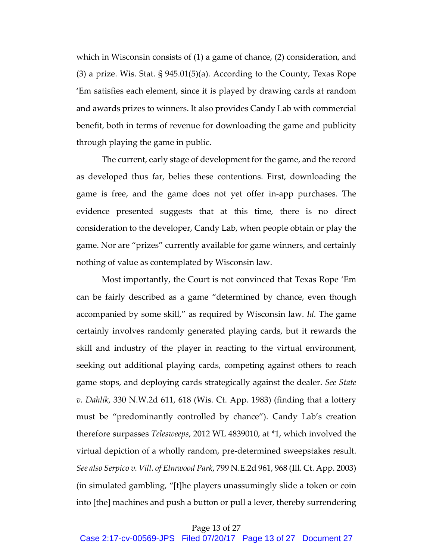which in Wisconsin consists of (1) a game of chance, (2) consideration, and (3) a prize. Wis. Stat.  $\S 945.01(5)(a)$ . According to the County, Texas Rope 'Em satisfies each element, since it is played by drawing cards at random and awards prizes to winners. It also provides Candy Lab with commercial benefit, both in terms of revenue for downloading the game and publicity through playing the game in public.

The current, early stage of development for the game, and the record as developed thus far, belies these contentions. First, downloading the game is free, and the game does not yet offer in-app purchases. The evidence presented suggests that at this time, there is no direct consideration to the developer, Candy Lab, when people obtain or play the game. Nor are "prizes" currently available for game winners, and certainly nothing of value as contemplated by Wisconsin law.

Most importantly, the Court is not convinced that Texas Rope 'Em can be fairly described as a game "determined by chance, even though accompanied by some skill," as required by Wisconsin law. *Id.* The game certainly involves randomly generated playing cards, but it rewards the skill and industry of the player in reacting to the virtual environment, seeking out additional playing cards, competing against others to reach game stops, and deploying cards strategically against the dealer. *See State v. Dahlik*, 330 N.W.2d 611, 618 (Wis. Ct. App. 1983) (finding that a lottery must be "predominantly controlled by chance"). Candy Lab's creation therefore surpasses *Telesweeps*, 2012 WL 4839010, at \*1, which involved the virtual depiction of a wholly random, pre-determined sweepstakes result. *See also Serpico v. Vill. of Elmwood Park*, 799 N.E.2d 961, 968 (Ill. Ct. App. 2003) (in simulated gambling, "[t]he players unassumingly slide a token or coin into [the] machines and push a button or pull a lever, thereby surrendering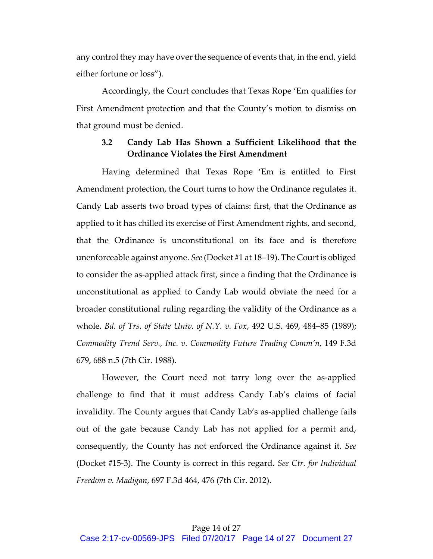any control they may have over the sequence of events that, in the end, yield either fortune or loss").

Accordingly, the Court concludes that Texas Rope 'Em qualifies for First Amendment protection and that the County's motion to dismiss on that ground must be denied.

## **3.2 Candy Lab Has Shown a Sufficient Likelihood that the Ordinance Violates the First Amendment**

Having determined that Texas Rope 'Em is entitled to First Amendment protection, the Court turns to how the Ordinance regulates it. Candy Lab asserts two broad types of claims: first, that the Ordinance as applied to it has chilled its exercise of First Amendment rights, and second, that the Ordinance is unconstitutional on its face and is therefore unenforceable against anyone. *See* (Docket #1 at 18–19). The Court is obliged to consider the as-applied attack first, since a finding that the Ordinance is unconstitutional as applied to Candy Lab would obviate the need for a broader constitutional ruling regarding the validity of the Ordinance as a whole. *Bd. of Trs. of State Univ. of N.Y. v. Fox*, 492 U.S. 469, 484–85 (1989); *Commodity Trend Serv., Inc. v. Commodity Future Trading Comm'n*, 149 F.3d 679, 688 n.5 (7th Cir. 1988).

However, the Court need not tarry long over the as-applied challenge to find that it must address Candy Lab's claims of facial invalidity. The County argues that Candy Lab's as-applied challenge fails out of the gate because Candy Lab has not applied for a permit and, consequently, the County has not enforced the Ordinance against it. *See*  (Docket #15-3). The County is correct in this regard. *See Ctr. for Individual Freedom v. Madigan*, 697 F.3d 464, 476 (7th Cir. 2012).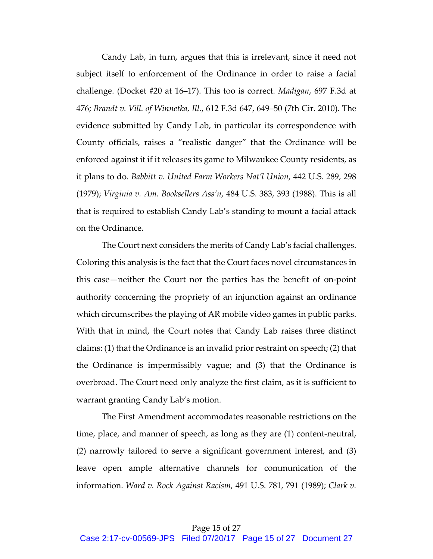Candy Lab, in turn, argues that this is irrelevant, since it need not subject itself to enforcement of the Ordinance in order to raise a facial challenge. (Docket #20 at 16–17). This too is correct. *Madigan*, 697 F.3d at 476; *Brandt v. Vill. of Winnetka, Ill.*, 612 F.3d 647, 649–50 (7th Cir. 2010). The evidence submitted by Candy Lab, in particular its correspondence with County officials, raises a "realistic danger" that the Ordinance will be enforced against it if it releases its game to Milwaukee County residents, as it plans to do. *Babbitt v. United Farm Workers Nat'l Union*, 442 U.S. 289, 298 (1979); *Virginia v. Am. Booksellers Ass'n*, 484 U.S. 383, 393 (1988). This is all that is required to establish Candy Lab's standing to mount a facial attack on the Ordinance.

The Court next considers the merits of Candy Lab's facial challenges. Coloring this analysis is the fact that the Court faces novel circumstances in this case—neither the Court nor the parties has the benefit of on-point authority concerning the propriety of an injunction against an ordinance which circumscribes the playing of AR mobile video games in public parks. With that in mind, the Court notes that Candy Lab raises three distinct claims: (1) that the Ordinance is an invalid prior restraint on speech; (2) that the Ordinance is impermissibly vague; and (3) that the Ordinance is overbroad. The Court need only analyze the first claim, as it is sufficient to warrant granting Candy Lab's motion.

The First Amendment accommodates reasonable restrictions on the time, place, and manner of speech, as long as they are (1) content-neutral, (2) narrowly tailored to serve a significant government interest, and (3) leave open ample alternative channels for communication of the information. *Ward v. Rock Against Racism*, 491 U.S. 781, 791 (1989); *Clark v.*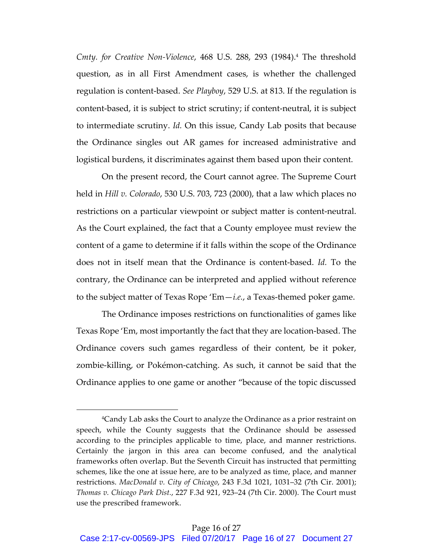*Cmty. for Creative Non-Violence*, 468 U.S. 288, 293 (1984).4 The threshold question, as in all First Amendment cases, is whether the challenged regulation is content-based. *See Playboy*, 529 U.S. at 813. If the regulation is content-based, it is subject to strict scrutiny; if content-neutral, it is subject to intermediate scrutiny. *Id.* On this issue, Candy Lab posits that because the Ordinance singles out AR games for increased administrative and logistical burdens, it discriminates against them based upon their content.

On the present record, the Court cannot agree. The Supreme Court held in *Hill v. Colorado*, 530 U.S. 703, 723 (2000), that a law which places no restrictions on a particular viewpoint or subject matter is content-neutral. As the Court explained, the fact that a County employee must review the content of a game to determine if it falls within the scope of the Ordinance does not in itself mean that the Ordinance is content-based. *Id.* To the contrary, the Ordinance can be interpreted and applied without reference to the subject matter of Texas Rope 'Em—*i.e.*, a Texas-themed poker game.

The Ordinance imposes restrictions on functionalities of games like Texas Rope 'Em, most importantly the fact that they are location-based. The Ordinance covers such games regardless of their content, be it poker, zombie-killing, or Pokémon-catching. As such, it cannot be said that the Ordinance applies to one game or another "because of the topic discussed

<sup>4</sup>Candy Lab asks the Court to analyze the Ordinance as a prior restraint on speech, while the County suggests that the Ordinance should be assessed according to the principles applicable to time, place, and manner restrictions. Certainly the jargon in this area can become confused, and the analytical frameworks often overlap. But the Seventh Circuit has instructed that permitting schemes, like the one at issue here, are to be analyzed as time, place, and manner restrictions. *MacDonald v. City of Chicago*, 243 F.3d 1021, 1031–32 (7th Cir. 2001); *Thomas v. Chicago Park Dist.*, 227 F.3d 921, 923–24 (7th Cir. 2000). The Court must use the prescribed framework.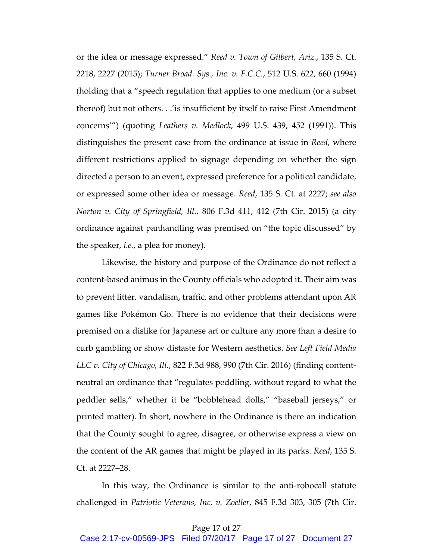or the idea or message expressed." *Reed v. Town of Gilbert, Ariz.*, 135 S. Ct. 2218, 2227 (2015); *Turner Broad. Sys., Inc. v. F.C.C.*, 512 U.S. 622, 660 (1994) (holding that a "speech regulation that applies to one medium (or a subset thereof) but not others. . .'is insufficient by itself to raise First Amendment concerns'") (quoting *Leathers v. Medlock*, 499 U.S. 439, 452 (1991)). This distinguishes the present case from the ordinance at issue in *Reed*, where different restrictions applied to signage depending on whether the sign directed a person to an event, expressed preference for a political candidate, or expressed some other idea or message. *Reed*, 135 S. Ct. at 2227; *see also Norton v. City of Springfield, Ill.*, 806 F.3d 411, 412 (7th Cir. 2015) (a city ordinance against panhandling was premised on "the topic discussed" by the speaker, *i.e.*, a plea for money).

Likewise, the history and purpose of the Ordinance do not reflect a content-based animus in the County officials who adopted it. Their aim was to prevent litter, vandalism, traffic, and other problems attendant upon AR games like Pokémon Go. There is no evidence that their decisions were premised on a dislike for Japanese art or culture any more than a desire to curb gambling or show distaste for Western aesthetics. *See Left Field Media LLC v. City of Chicago, Ill.*, 822 F.3d 988, 990 (7th Cir. 2016) (finding contentneutral an ordinance that "regulates peddling, without regard to what the peddler sells," whether it be "bobblehead dolls," "baseball jerseys," or printed matter). In short, nowhere in the Ordinance is there an indication that the County sought to agree, disagree, or otherwise express a view on the content of the AR games that might be played in its parks. *Reed*, 135 S. Ct. at 2227–28.

In this way, the Ordinance is similar to the anti-robocall statute challenged in *Patriotic Veterans, Inc. v. Zoeller*, 845 F.3d 303, 305 (7th Cir.

## Page 17 of 27

Case 2:17-cv-00569-JPS Filed 07/20/17 Page 17 of 27 Document 27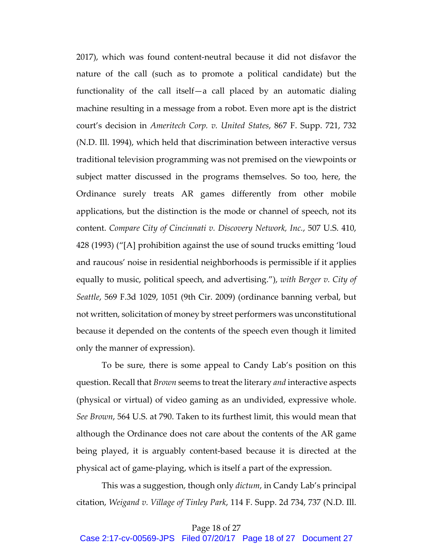2017), which was found content-neutral because it did not disfavor the nature of the call (such as to promote a political candidate) but the functionality of the call itself—a call placed by an automatic dialing machine resulting in a message from a robot. Even more apt is the district court's decision in *Ameritech Corp. v. United States*, 867 F. Supp. 721, 732 (N.D. Ill. 1994), which held that discrimination between interactive versus traditional television programming was not premised on the viewpoints or subject matter discussed in the programs themselves. So too, here, the Ordinance surely treats AR games differently from other mobile applications, but the distinction is the mode or channel of speech, not its content. *Compare City of Cincinnati v. Discovery Network, Inc.*, 507 U.S. 410, 428 (1993) ("[A] prohibition against the use of sound trucks emitting 'loud and raucous' noise in residential neighborhoods is permissible if it applies equally to music, political speech, and advertising."), *with Berger v. City of Seattle*, 569 F.3d 1029, 1051 (9th Cir. 2009) (ordinance banning verbal, but not written, solicitation of money by street performers was unconstitutional because it depended on the contents of the speech even though it limited only the manner of expression).

To be sure, there is some appeal to Candy Lab's position on this question. Recall that *Brown* seems to treat the literary *and* interactive aspects (physical or virtual) of video gaming as an undivided, expressive whole. *See Brown*, 564 U.S. at 790. Taken to its furthest limit, this would mean that although the Ordinance does not care about the contents of the AR game being played, it is arguably content-based because it is directed at the physical act of game-playing, which is itself a part of the expression.

This was a suggestion, though only *dictum*, in Candy Lab's principal citation, *Weigand v. Village of Tinley Park*, 114 F. Supp. 2d 734, 737 (N.D. Ill.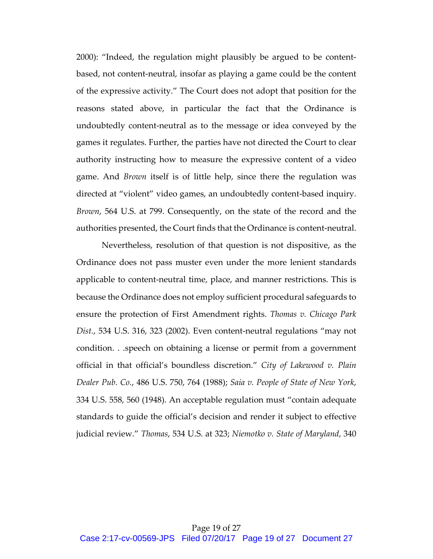2000): "Indeed, the regulation might plausibly be argued to be contentbased, not content-neutral, insofar as playing a game could be the content of the expressive activity." The Court does not adopt that position for the reasons stated above, in particular the fact that the Ordinance is undoubtedly content-neutral as to the message or idea conveyed by the games it regulates. Further, the parties have not directed the Court to clear authority instructing how to measure the expressive content of a video game. And *Brown* itself is of little help, since there the regulation was directed at "violent" video games, an undoubtedly content-based inquiry. *Brown*, 564 U.S. at 799. Consequently, on the state of the record and the authorities presented, the Court finds that the Ordinance is content-neutral.

Nevertheless, resolution of that question is not dispositive, as the Ordinance does not pass muster even under the more lenient standards applicable to content-neutral time, place, and manner restrictions. This is because the Ordinance does not employ sufficient procedural safeguards to ensure the protection of First Amendment rights. *Thomas v. Chicago Park Dist.*, 534 U.S. 316, 323 (2002). Even content-neutral regulations "may not condition. . .speech on obtaining a license or permit from a government official in that official's boundless discretion." *City of Lakewood v. Plain Dealer Pub. Co.*, 486 U.S. 750, 764 (1988); *Saia v. People of State of New York*, 334 U.S. 558, 560 (1948). An acceptable regulation must "contain adequate standards to guide the official's decision and render it subject to effective judicial review." *Thomas*, 534 U.S. at 323; *Niemotko v. State of Maryland*, 340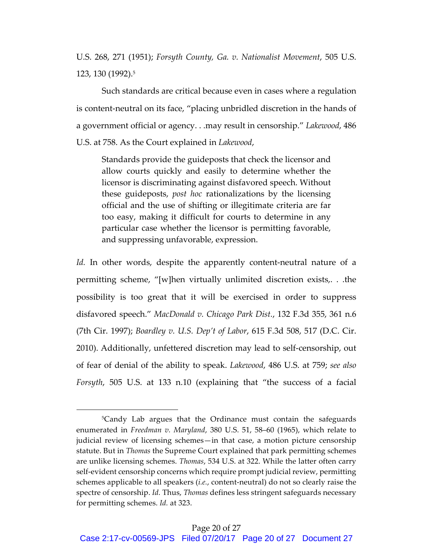U.S. 268, 271 (1951); *Forsyth County, Ga. v. Nationalist Movement*, 505 U.S. 123, 130 (1992).5

Such standards are critical because even in cases where a regulation is content-neutral on its face, "placing unbridled discretion in the hands of a government official or agency. . .may result in censorship." *Lakewood*, 486 U.S. at 758. As the Court explained in *Lakewood*,

Standards provide the guideposts that check the licensor and allow courts quickly and easily to determine whether the licensor is discriminating against disfavored speech. Without these guideposts, *post hoc* rationalizations by the licensing official and the use of shifting or illegitimate criteria are far too easy, making it difficult for courts to determine in any particular case whether the licensor is permitting favorable, and suppressing unfavorable, expression.

*Id.* In other words, despite the apparently content-neutral nature of a permitting scheme, "[w]hen virtually unlimited discretion exists,. . .the possibility is too great that it will be exercised in order to suppress disfavored speech." *MacDonald v. Chicago Park Dist.*, 132 F.3d 355, 361 n.6 (7th Cir. 1997); *Boardley v. U.S. Dep't of Labor*, 615 F.3d 508, 517 (D.C. Cir. 2010). Additionally, unfettered discretion may lead to self-censorship, out of fear of denial of the ability to speak. *Lakewood*, 486 U.S. at 759; *see also Forsyth*, 505 U.S. at 133 n.10 (explaining that "the success of a facial

<sup>5</sup>Candy Lab argues that the Ordinance must contain the safeguards enumerated in *Freedman v. Maryland*, 380 U.S. 51, 58–60 (1965), which relate to judicial review of licensing schemes—in that case, a motion picture censorship statute. But in *Thomas* the Supreme Court explained that park permitting schemes are unlike licensing schemes. *Thomas*, 534 U.S. at 322. While the latter often carry self-evident censorship concerns which require prompt judicial review, permitting schemes applicable to all speakers (*i.e.*, content-neutral) do not so clearly raise the spectre of censorship. *Id.* Thus, *Thomas* defines less stringent safeguards necessary for permitting schemes. *Id.* at 323.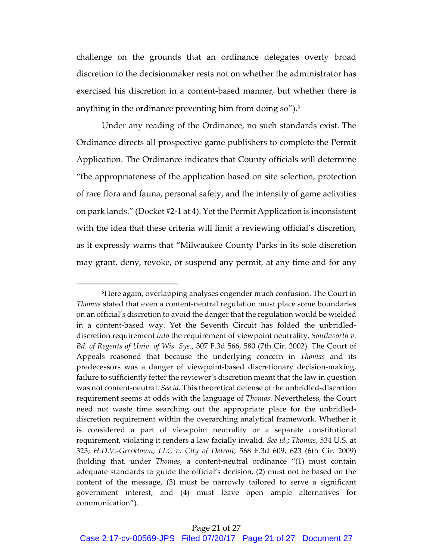challenge on the grounds that an ordinance delegates overly broad discretion to the decisionmaker rests not on whether the administrator has exercised his discretion in a content-based manner, but whether there is anything in the ordinance preventing him from doing so"). $6$ 

Under any reading of the Ordinance, no such standards exist. The Ordinance directs all prospective game publishers to complete the Permit Application. The Ordinance indicates that County officials will determine "the appropriateness of the application based on site selection, protection of rare flora and fauna, personal safety, and the intensity of game activities on park lands." (Docket #2-1 at 4). Yet the Permit Application is inconsistent with the idea that these criteria will limit a reviewing official's discretion, as it expressly warns that "Milwaukee County Parks in its sole discretion may grant, deny, revoke, or suspend any permit, at any time and for any

<sup>6</sup>Here again, overlapping analyses engender much confusion. The Court in *Thomas* stated that even a content-neutral regulation must place some boundaries on an official's discretion to avoid the danger that the regulation would be wielded in a content-based way. Yet the Seventh Circuit has folded the unbridleddiscretion requirement *into* the requirement of viewpoint neutrality. *Southworth v. Bd. of Regents of Univ. of Wis. Sys.*, 307 F.3d 566, 580 (7th Cir. 2002). The Court of Appeals reasoned that because the underlying concern in *Thomas* and its predecessors was a danger of viewpoint-based discretionary decision-making, failure to sufficiently fetter the reviewer's discretion meant that the law in question was not content-neutral. *See id.* This theoretical defense of the unbridled-discretion requirement seems at odds with the language of *Thomas*. Nevertheless, the Court need not waste time searching out the appropriate place for the unbridleddiscretion requirement within the overarching analytical framework. Whether it is considered a part of viewpoint neutrality or a separate constitutional requirement, violating it renders a law facially invalid. *See id.*; *Thomas*, 534 U.S. at 323; *H.D.V.-Greektown, LLC v. City of Detroit*, 568 F.3d 609, 623 (6th Cir. 2009) (holding that, under *Thomas*, a content-neutral ordinance "(1) must contain adequate standards to guide the official's decision, (2) must not be based on the content of the message, (3) must be narrowly tailored to serve a significant government interest, and (4) must leave open ample alternatives for communication").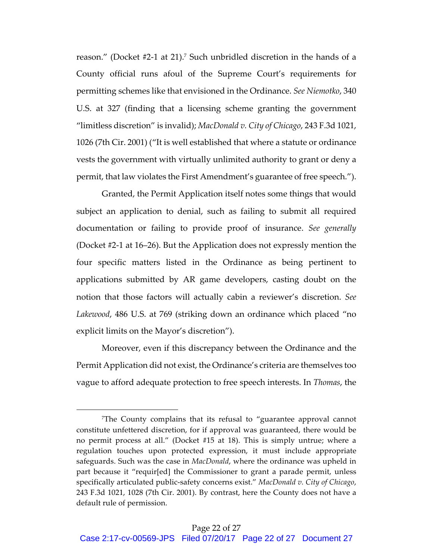reason." (Docket #2-1 at 21).7 Such unbridled discretion in the hands of a County official runs afoul of the Supreme Court's requirements for permitting schemes like that envisioned in the Ordinance. *See Niemotko*, 340 U.S. at 327 (finding that a licensing scheme granting the government "limitless discretion" is invalid); *MacDonald v. City of Chicago*, 243 F.3d 1021, 1026 (7th Cir. 2001) ("It is well established that where a statute or ordinance vests the government with virtually unlimited authority to grant or deny a permit, that law violates the First Amendment's guarantee of free speech.").

Granted, the Permit Application itself notes some things that would subject an application to denial, such as failing to submit all required documentation or failing to provide proof of insurance. *See generally* (Docket #2-1 at 16–26). But the Application does not expressly mention the four specific matters listed in the Ordinance as being pertinent to applications submitted by AR game developers, casting doubt on the notion that those factors will actually cabin a reviewer's discretion. *See Lakewood*, 486 U.S. at 769 (striking down an ordinance which placed "no explicit limits on the Mayor's discretion").

Moreover, even if this discrepancy between the Ordinance and the Permit Application did not exist, the Ordinance's criteria are themselves too vague to afford adequate protection to free speech interests. In *Thomas*, the

<sup>7</sup>The County complains that its refusal to "guarantee approval cannot constitute unfettered discretion, for if approval was guaranteed, there would be no permit process at all." (Docket #15 at 18). This is simply untrue; where a regulation touches upon protected expression, it must include appropriate safeguards. Such was the case in *MacDonald*, where the ordinance was upheld in part because it "requir[ed] the Commissioner to grant a parade permit, unless specifically articulated public-safety concerns exist." *MacDonald v. City of Chicago*, 243 F.3d 1021, 1028 (7th Cir. 2001). By contrast, here the County does not have a default rule of permission.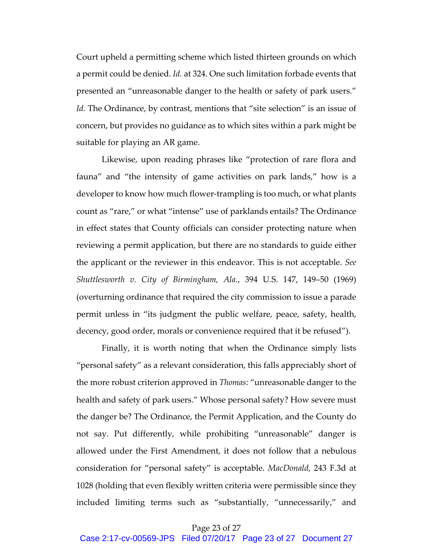Court upheld a permitting scheme which listed thirteen grounds on which a permit could be denied. *Id.* at 324. One such limitation forbade events that presented an "unreasonable danger to the health or safety of park users." Id. The Ordinance, by contrast, mentions that "site selection" is an issue of concern, but provides no guidance as to which sites within a park might be suitable for playing an AR game.

Likewise, upon reading phrases like "protection of rare flora and fauna" and "the intensity of game activities on park lands," how is a developer to know how much flower-trampling is too much, or what plants count as "rare," or what "intense" use of parklands entails? The Ordinance in effect states that County officials can consider protecting nature when reviewing a permit application, but there are no standards to guide either the applicant or the reviewer in this endeavor. This is not acceptable. *See Shuttlesworth v. City of Birmingham, Ala.*, 394 U.S. 147, 149–50 (1969) (overturning ordinance that required the city commission to issue a parade permit unless in "its judgment the public welfare, peace, safety, health, decency, good order, morals or convenience required that it be refused").

Finally, it is worth noting that when the Ordinance simply lists "personal safety" as a relevant consideration, this falls appreciably short of the more robust criterion approved in *Thomas*: "unreasonable danger to the health and safety of park users." Whose personal safety? How severe must the danger be? The Ordinance, the Permit Application, and the County do not say. Put differently, while prohibiting "unreasonable" danger is allowed under the First Amendment, it does not follow that a nebulous consideration for "personal safety" is acceptable. *MacDonald*, 243 F.3d at 1028 (holding that even flexibly written criteria were permissible since they included limiting terms such as "substantially, "unnecessarily," and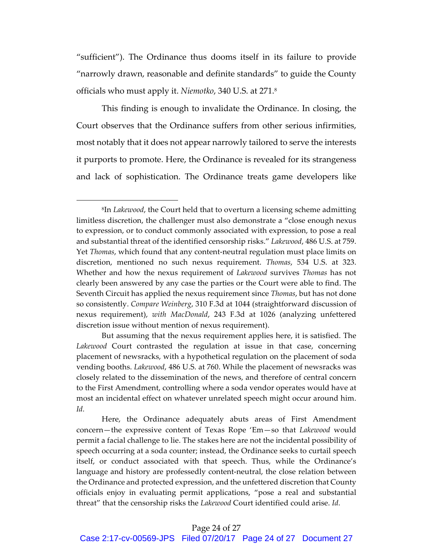"sufficient"). The Ordinance thus dooms itself in its failure to provide "narrowly drawn, reasonable and definite standards" to guide the County officials who must apply it. *Niemotko*, 340 U.S. at 271. 8

This finding is enough to invalidate the Ordinance. In closing, the Court observes that the Ordinance suffers from other serious infirmities, most notably that it does not appear narrowly tailored to serve the interests it purports to promote. Here, the Ordinance is revealed for its strangeness and lack of sophistication. The Ordinance treats game developers like

<sup>8</sup>In *Lakewood*, the Court held that to overturn a licensing scheme admitting limitless discretion, the challenger must also demonstrate a "close enough nexus to expression, or to conduct commonly associated with expression, to pose a real and substantial threat of the identified censorship risks." *Lakewood*, 486 U.S. at 759. Yet *Thomas*, which found that any content-neutral regulation must place limits on discretion, mentioned no such nexus requirement. *Thomas*, 534 U.S. at 323. Whether and how the nexus requirement of *Lakewood* survives *Thomas* has not clearly been answered by any case the parties or the Court were able to find. The Seventh Circuit has applied the nexus requirement since *Thomas*, but has not done so consistently. *Compare Weinberg*, 310 F.3d at 1044 (straightforward discussion of nexus requirement), *with MacDonald*, 243 F.3d at 1026 (analyzing unfettered discretion issue without mention of nexus requirement).

But assuming that the nexus requirement applies here, it is satisfied. The *Lakewood* Court contrasted the regulation at issue in that case, concerning placement of newsracks, with a hypothetical regulation on the placement of soda vending booths. *Lakewood*, 486 U.S. at 760. While the placement of newsracks was closely related to the dissemination of the news, and therefore of central concern to the First Amendment, controlling where a soda vendor operates would have at most an incidental effect on whatever unrelated speech might occur around him. *Id.*

Here, the Ordinance adequately abuts areas of First Amendment concern—the expressive content of Texas Rope 'Em—so that *Lakewood* would permit a facial challenge to lie. The stakes here are not the incidental possibility of speech occurring at a soda counter; instead, the Ordinance seeks to curtail speech itself, or conduct associated with that speech. Thus, while the Ordinance's language and history are professedly content-neutral, the close relation between the Ordinance and protected expression, and the unfettered discretion that County officials enjoy in evaluating permit applications, "pose a real and substantial threat" that the censorship risks the *Lakewood* Court identified could arise. *Id.*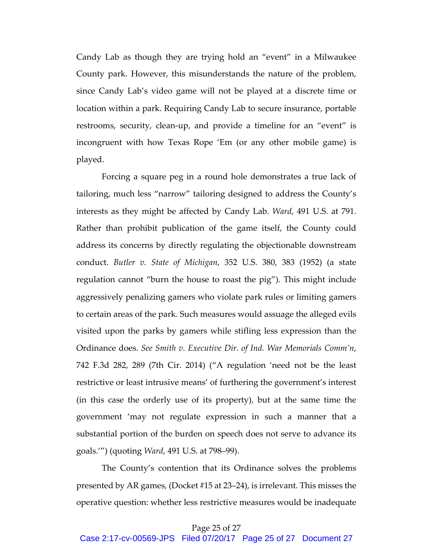Candy Lab as though they are trying hold an "event" in a Milwaukee County park. However, this misunderstands the nature of the problem, since Candy Lab's video game will not be played at a discrete time or location within a park. Requiring Candy Lab to secure insurance, portable restrooms, security, clean-up, and provide a timeline for an "event" is incongruent with how Texas Rope 'Em (or any other mobile game) is played.

Forcing a square peg in a round hole demonstrates a true lack of tailoring, much less "narrow" tailoring designed to address the County's interests as they might be affected by Candy Lab. *Ward*, 491 U.S. at 791. Rather than prohibit publication of the game itself, the County could address its concerns by directly regulating the objectionable downstream conduct. *Butler v. State of Michigan*, 352 U.S. 380, 383 (1952) (a state regulation cannot "burn the house to roast the pig"). This might include aggressively penalizing gamers who violate park rules or limiting gamers to certain areas of the park. Such measures would assuage the alleged evils visited upon the parks by gamers while stifling less expression than the Ordinance does. *See Smith v. Executive Dir. of Ind. War Memorials Comm'n*, 742 F.3d 282, 289 (7th Cir. 2014) ("A regulation 'need not be the least restrictive or least intrusive means' of furthering the government's interest (in this case the orderly use of its property), but at the same time the government 'may not regulate expression in such a manner that a substantial portion of the burden on speech does not serve to advance its goals.'") (quoting *Ward*, 491 U.S. at 798–99).

The County's contention that its Ordinance solves the problems presented by AR games, (Docket #15 at 23–24), is irrelevant. This misses the operative question: whether less restrictive measures would be inadequate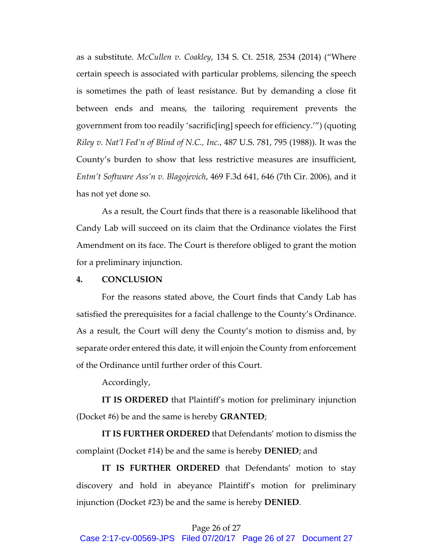as a substitute. *McCullen v. Coakley*, 134 S. Ct. 2518, 2534 (2014) ("Where certain speech is associated with particular problems, silencing the speech is sometimes the path of least resistance. But by demanding a close fit between ends and means, the tailoring requirement prevents the government from too readily 'sacrific[ing] speech for efficiency.'") (quoting *Riley v. Nat'l Fed'n of Blind of N.C., Inc.*, 487 U.S. 781, 795 (1988)). It was the County's burden to show that less restrictive measures are insufficient, *Entm't Software Ass'n v. Blagojevich*, 469 F.3d 641, 646 (7th Cir. 2006), and it has not yet done so.

As a result, the Court finds that there is a reasonable likelihood that Candy Lab will succeed on its claim that the Ordinance violates the First Amendment on its face. The Court is therefore obliged to grant the motion for a preliminary injunction.

#### **4. CONCLUSION**

For the reasons stated above, the Court finds that Candy Lab has satisfied the prerequisites for a facial challenge to the County's Ordinance. As a result, the Court will deny the County's motion to dismiss and, by separate order entered this date, it will enjoin the County from enforcement of the Ordinance until further order of this Court.

Accordingly,

**IT IS ORDERED** that Plaintiff's motion for preliminary injunction (Docket #6) be and the same is hereby **GRANTED**;

**IT IS FURTHER ORDERED** that Defendants' motion to dismiss the complaint (Docket #14) be and the same is hereby **DENIED**; and

**IT IS FURTHER ORDERED** that Defendants' motion to stay discovery and hold in abeyance Plaintiff's motion for preliminary injunction (Docket #23) be and the same is hereby **DENIED**.

# Page 26 of 27

Case 2:17-cv-00569-JPS Filed 07/20/17 Page 26 of 27 Document 27